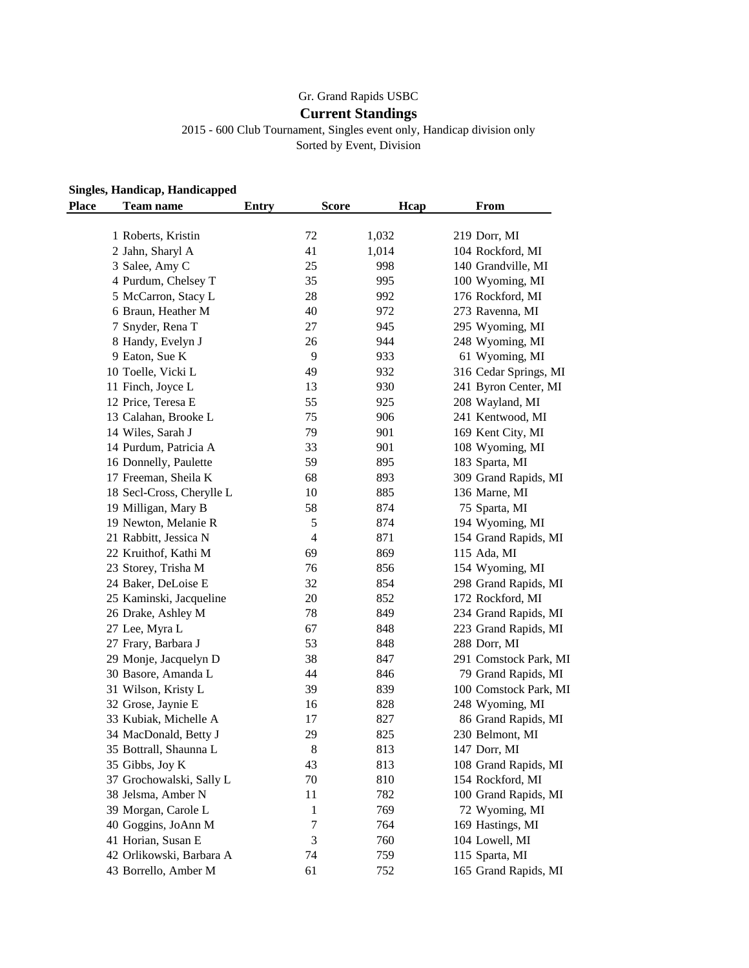## Gr. Grand Rapids USBC

## **Current Standings**

2015 - 600 Club Tournament, Singles event only, Handicap division only Sorted by Event, Division

## **Singles, Handicap, Handicapped**

| <b>Place</b><br><b>Team name</b>       | <b>Entry</b> | <b>Score</b>   | Hcap  | From                  |
|----------------------------------------|--------------|----------------|-------|-----------------------|
| 1 Roberts, Kristin                     |              | 72             | 1,032 | 219 Dorr, MI          |
| 2 Jahn, Sharyl A                       |              | 41             | 1,014 | 104 Rockford, MI      |
| 3 Salee, Amy C                         |              | 25             | 998   | 140 Grandville, MI    |
|                                        |              | 35             | 995   | 100 Wyoming, MI       |
| 4 Purdum, Chelsey T                    |              | 28             | 992   | 176 Rockford, MI      |
| 5 McCarron, Stacy L                    |              | 40             | 972   | 273 Ravenna, MI       |
| 6 Braun, Heather M<br>7 Snyder, Rena T |              |                |       |                       |
| 8 Handy, Evelyn J                      |              | 27             | 945   | 295 Wyoming, MI       |
|                                        |              | 26             | 944   | 248 Wyoming, MI       |
| 9 Eaton, Sue K                         |              | 9              | 933   | 61 Wyoming, MI        |
| 10 Toelle, Vicki L                     |              | 49             | 932   | 316 Cedar Springs, MI |
| 11 Finch, Joyce L                      |              | 13             | 930   | 241 Byron Center, MI  |
| 12 Price, Teresa E                     |              | 55             | 925   | 208 Wayland, MI       |
| 13 Calahan, Brooke L                   |              | 75             | 906   | 241 Kentwood, MI      |
| 14 Wiles, Sarah J                      |              | 79             | 901   | 169 Kent City, MI     |
| 14 Purdum, Patricia A                  |              | 33             | 901   | 108 Wyoming, MI       |
| 16 Donnelly, Paulette                  |              | 59             | 895   | 183 Sparta, MI        |
| 17 Freeman, Sheila K                   |              | 68             | 893   | 309 Grand Rapids, MI  |
| 18 Secl-Cross, Cherylle L              |              | 10             | 885   | 136 Marne, MI         |
| 19 Milligan, Mary B                    |              | 58             | 874   | 75 Sparta, MI         |
| 19 Newton, Melanie R                   |              | 5              | 874   | 194 Wyoming, MI       |
| 21 Rabbitt, Jessica N                  |              | $\overline{4}$ | 871   | 154 Grand Rapids, MI  |
| 22 Kruithof, Kathi M                   |              | 69             | 869   | 115 Ada, MI           |
| 23 Storey, Trisha M                    |              | 76             | 856   | 154 Wyoming, MI       |
| 24 Baker, DeLoise E                    |              | 32             | 854   | 298 Grand Rapids, MI  |
| 25 Kaminski, Jacqueline                |              | 20             | 852   | 172 Rockford, MI      |
| 26 Drake, Ashley M                     |              | 78             | 849   | 234 Grand Rapids, MI  |
| 27 Lee, Myra L                         |              | 67             | 848   | 223 Grand Rapids, MI  |
| 27 Frary, Barbara J                    |              | 53             | 848   | 288 Dorr, MI          |
| 29 Monje, Jacquelyn D                  |              | 38             | 847   | 291 Comstock Park, MI |
| 30 Basore, Amanda L                    |              | 44             | 846   | 79 Grand Rapids, MI   |
| 31 Wilson, Kristy L                    |              | 39             | 839   | 100 Comstock Park, MI |
| 32 Grose, Jaynie E                     |              | 16             | 828   | 248 Wyoming, MI       |
| 33 Kubiak, Michelle A                  |              | 17             | 827   | 86 Grand Rapids, MI   |
| 34 MacDonald, Betty J                  |              | 29             | 825   | 230 Belmont, MI       |
| 35 Bottrall, Shaunna L                 |              | $\,8\,$        | 813   | 147 Dorr, MI          |
| 35 Gibbs, Joy K                        |              | 43             | 813   | 108 Grand Rapids, MI  |
| 37 Grochowalski, Sally L               |              | 70             | 810   | 154 Rockford, MI      |
| 38 Jelsma, Amber N                     |              | 11             | 782   | 100 Grand Rapids, MI  |
| 39 Morgan, Carole L                    |              | 1              | 769   | 72 Wyoming, MI        |
| 40 Goggins, JoAnn M                    |              | 7              | 764   | 169 Hastings, MI      |
| 41 Horian, Susan E                     |              | 3              | 760   | 104 Lowell, MI        |
| 42 Orlikowski, Barbara A               |              | 74             | 759   | 115 Sparta, MI        |
| 43 Borrello, Amber M                   |              | 61             | 752   | 165 Grand Rapids, MI  |